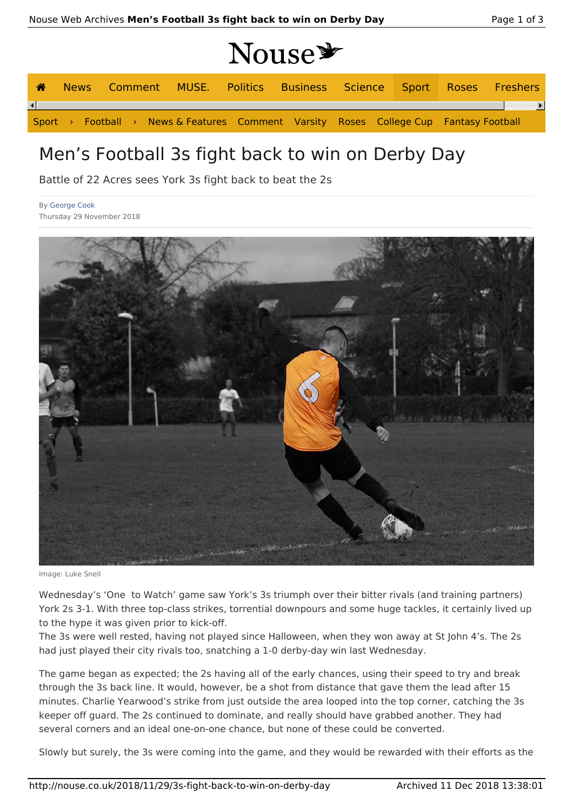# **Nouse**

|  |  |  |  | News Comment MUSE. Politics Business Science Sport Roses Freshers                     |  |  |  |
|--|--|--|--|---------------------------------------------------------------------------------------|--|--|--|
|  |  |  |  |                                                                                       |  |  |  |
|  |  |  |  | Sport > Football > News & Features Comment Varsity Roses College Cup Fantasy Football |  |  |  |

# Men's Football 3s fight back to win on Derby Day

Battle of 22 Acres sees York 3s fight back to beat the 2s

By George Cook Thursday 29 November 2018



Image: Luke Snell

Wednesday's 'One to Watch' game saw York's 3s triumph over their bitter rivals (and training partners) York 2s 3-1. With three top-class strikes, torrential downpours and some huge tackles, it certainly lived up to the hype it was given prior to kick-off.

The 3s were well rested, having not played since Halloween, when they won away at St John 4's. The 2s had just played their city rivals too, snatching a 1-0 derby-day win last Wednesday.

The game began as expected; the 2s having all of the early chances, using their speed to try and break through the 3s back line. It would, however, be a shot from distance that gave them the lead after 15 minutes. Charlie Yearwood's strike from just outside the area looped into the top corner, catching the 3s keeper off guard. The 2s continued to dominate, and really should have grabbed another. They had several corners and an ideal one-on-one chance, but none of these could be converted.

Slowly but surely, the 3s were coming into the game, and they would be rewarded with their efforts as the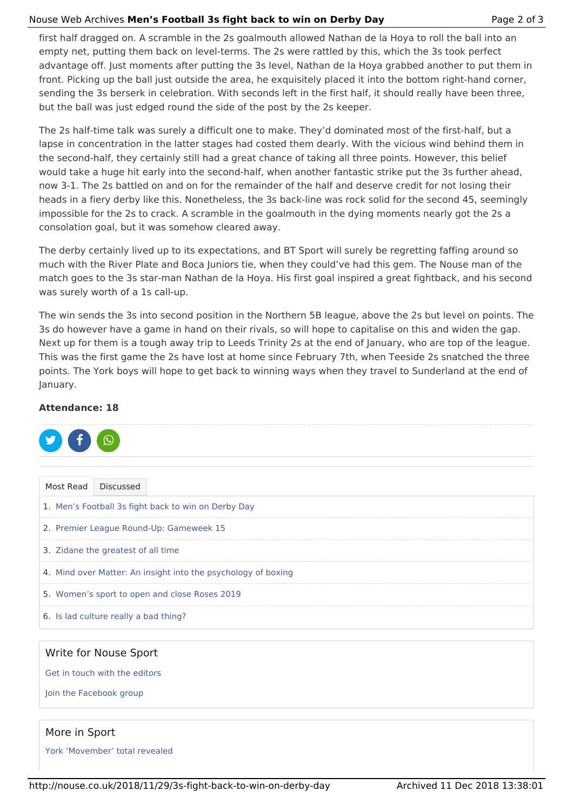#### Nouse Web Archives **Men's Football 3s fight back to win on Derby Day** Page 2 of 3

first half dragged on. A scramble in the 2s goalmouth allowed Nathan de la Hoya to roll the ball into an empty net, putting them back on level-terms. The 2s were rattled by this, which the 3s took perfect advantage off. Just moments after putting the 3s level, Nathan de la Hoya grabbed another to put them in front. Picking up the ball just outside the area, he exquisitely placed it into the bottom right-hand corner, sending the 3s berserk in celebration. With seconds left in the first half, it should really have been three, but the ball was just edged round the side of the post by the 2s keeper.

The 2s half-time talk was surely a difficult one to make. They'd dominated most of the first-half, but a lapse in concentration in the latter stages had costed them dearly. With the vicious wind behind them in the second-half, they certainly still had a great chance of taking all three points. However, this belief would take a huge hit early into the second-half, when another fantastic strike put the 3s further ahead, now 3-1. The 2s battled on and on for the remainder of the half and deserve credit for not losing their heads in a fiery derby like this. Nonetheless, the 3s back-line was rock solid for the second 45, seemingly impossible for the 2s to crack. A scramble in the goalmouth in the dying moments nearly got the 2s a consolation goal, but it was somehow cleared away.

The derby certainly lived up to its expectations, and BT Sport will surely be regretting faffing around so much with the River Plate and Boca Juniors tie, when they could've had this gem. The Nouse man of the match goes to the 3s star-man Nathan de la Hoya. His first goal inspired a great fightback, and his second was surely worth of a 1s call-up.

The win sends the 3s into second position in the Northern 5B league, above the 2s but level on points. The 3s do however have a game in hand on their rivals, so will hope to capitalise on this and widen the gap. Next up for them is a tough away trip to Leeds Trinity 2s at the end of January, who are top of the league. This was the first game the 2s have lost at home since February 7th, when Teeside 2s snatched the three points. The York boys will hope to get back to winning ways when they travel to Sunderland at the end of January.

#### **Attendance: 18**



## Write for Nouse Sport

Get in touch with the editors

Join the Facebook group

## More in Sport

York 'Movember' total revealed